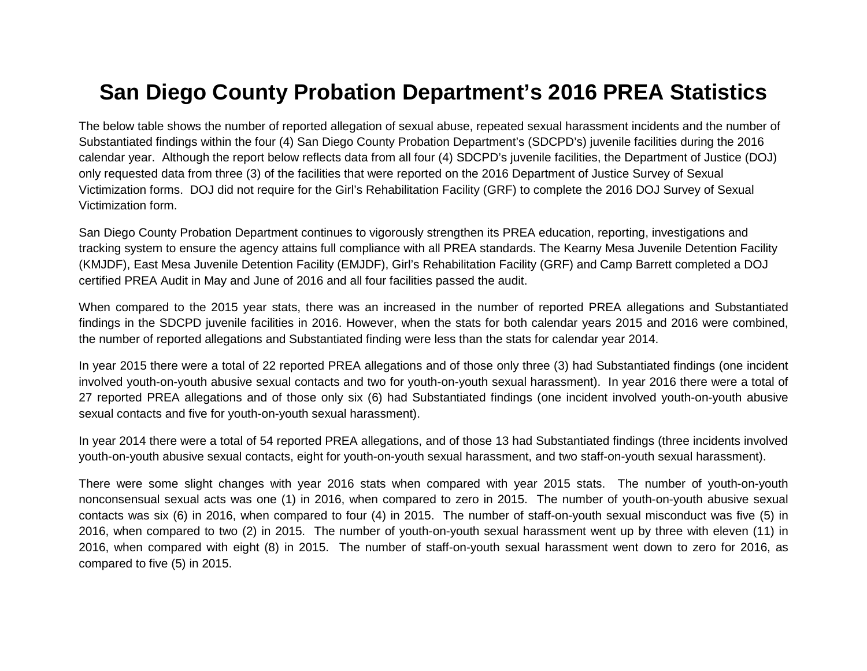### **San Diego County Probation Department's 2016 PREA Statistics**

The below table shows the number of reported allegation of sexual abuse, repeated sexual harassment incidents and the number of Substantiated findings within the four (4) San Diego County Probation Department's (SDCPD's) juvenile facilities during the 2016 calendar year. Although the report below reflects data from all four (4) SDCPD's juvenile facilities, the Department of Justice (DOJ) only requested data from three (3) of the facilities that were reported on the 2016 Department of Justice Survey of Sexual Victimization forms. DOJ did not require for the Girl's Rehabilitation Facility (GRF) to complete the 2016 DOJ Survey of Sexual Victimization form.

San Diego County Probation Department continues to vigorously strengthen its PREA education, reporting, investigations and tracking system to ensure the agency attains full compliance with all PREA standards. The Kearny Mesa Juvenile Detention Facility (KMJDF), East Mesa Juvenile Detention Facility (EMJDF), Girl's Rehabilitation Facility (GRF) and Camp Barrett completed a DOJ certified PREA Audit in May and June of 2016 and all four facilities passed the audit.

When compared to the 2015 year stats, there was an increased in the number of reported PREA allegations and Substantiated findings in the SDCPD juvenile facilities in 2016. However, when the stats for both calendar years 2015 and 2016 were combined, the number of reported allegations and Substantiated finding were less than the stats for calendar year 2014.

In year 2015 there were a total of 22 reported PREA allegations and of those only three (3) had Substantiated findings (one incident involved youth-on-youth abusive sexual contacts and two for youth-on-youth sexual harassment). In year 2016 there were a total of 27 reported PREA allegations and of those only six (6) had Substantiated findings (one incident involved youth-on-youth abusive sexual contacts and five for youth-on-youth sexual harassment).

In year 2014 there were a total of 54 reported PREA allegations, and of those 13 had Substantiated findings (three incidents involved youth-on-youth abusive sexual contacts, eight for youth-on-youth sexual harassment, and two staff-on-youth sexual harassment).

There were some slight changes with year 2016 stats when compared with year 2015 stats. The number of youth-on-youth nonconsensual sexual acts was one (1) in 2016, when compared to zero in 2015. The number of youth-on-youth abusive sexual contacts was six (6) in 2016, when compared to four (4) in 2015. The number of staff-on-youth sexual misconduct was five (5) in 2016, when compared to two (2) in 2015. The number of youth-on-youth sexual harassment went up by three with eleven (11) in 2016, when compared with eight (8) in 2015. The number of staff-on-youth sexual harassment went down to zero for 2016, as compared to five (5) in 2015.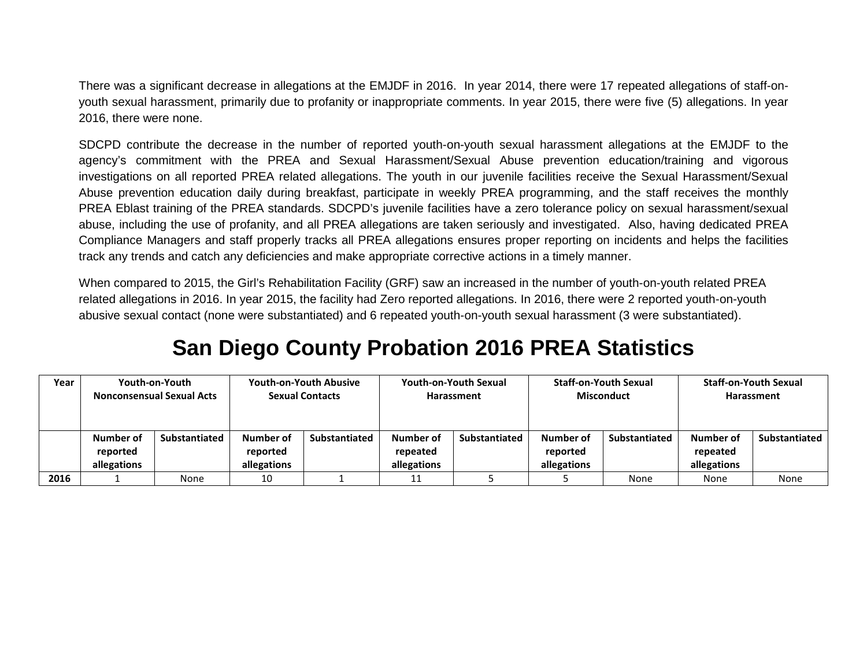There was a significant decrease in allegations at the EMJDF in 2016. In year 2014, there were 17 repeated allegations of staff-onyouth sexual harassment, primarily due to profanity or inappropriate comments. In year 2015, there were five (5) allegations. In year 2016, there were none.

SDCPD contribute the decrease in the number of reported youth-on-youth sexual harassment allegations at the EMJDF to the agency's commitment with the PREA and Sexual Harassment/Sexual Abuse prevention education/training and vigorous investigations on all reported PREA related allegations. The youth in our juvenile facilities receive the Sexual Harassment/Sexual Abuse prevention education daily during breakfast, participate in weekly PREA programming, and the staff receives the monthly PREA Eblast training of the PREA standards. SDCPD's juvenile facilities have a zero tolerance policy on sexual harassment/sexual abuse, including the use of profanity, and all PREA allegations are taken seriously and investigated. Also, having dedicated PREA Compliance Managers and staff properly tracks all PREA allegations ensures proper reporting on incidents and helps the facilities track any trends and catch any deficiencies and make appropriate corrective actions in a timely manner.

When compared to 2015, the Girl's Rehabilitation Facility (GRF) saw an increased in the number of youth-on-youth related PREA related allegations in 2016. In year 2015, the facility had Zero reported allegations. In 2016, there were 2 reported youth-on-youth abusive sexual contact (none were substantiated) and 6 repeated youth-on-youth sexual harassment (3 were substantiated).

#### **San Diego County Probation 2016 PREA Statistics**

| Year | Youth-on-Youth<br><b>Nonconsensual Sexual Acts</b> |               | <b>Youth-on-Youth Abusive</b><br><b>Sexual Contacts</b> |               | <b>Youth-on-Youth Sexual</b><br>Harassment |               | <b>Staff-on-Youth Sexual</b><br><b>Misconduct</b> |               | <b>Staff-on-Youth Sexual</b><br>Harassment |                      |
|------|----------------------------------------------------|---------------|---------------------------------------------------------|---------------|--------------------------------------------|---------------|---------------------------------------------------|---------------|--------------------------------------------|----------------------|
|      | Number of<br>reported<br>allegations               | Substantiated | Number of<br>reported<br>allegations                    | Substantiated | Number of<br>repeated<br>allegations       | Substantiated | Number of<br>reported<br>allegations              | Substantiated | Number of<br>repeated<br>allegations       | <b>Substantiated</b> |
| 2016 |                                                    | None          | 10                                                      |               |                                            |               |                                                   | None          | None                                       | None                 |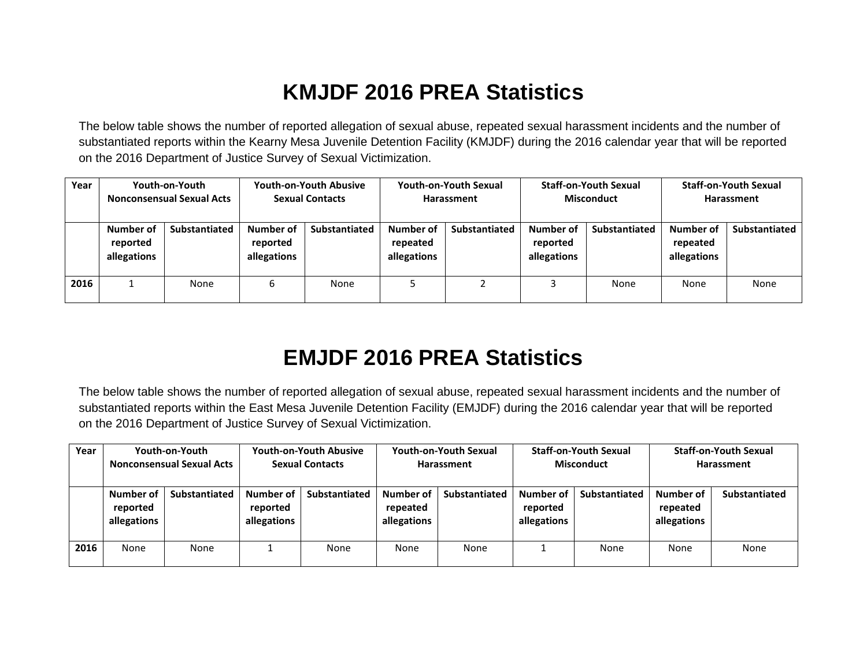# **KMJDF 2016 PREA Statistics**

The below table shows the number of reported allegation of sexual abuse, repeated sexual harassment incidents and the number of substantiated reports within the Kearny Mesa Juvenile Detention Facility (KMJDF) during the 2016 calendar year that will be reported on the 2016 Department of Justice Survey of Sexual Victimization.

| Year | Youth-on-Youth<br><b>Nonconsensual Sexual Acts</b> |                      | <b>Youth-on-Youth Abusive</b><br><b>Sexual Contacts</b> |                      | <b>Youth-on-Youth Sexual</b><br><b>Harassment</b> |               | <b>Staff-on-Youth Sexual</b><br><b>Misconduct</b> |               | <b>Staff-on-Youth Sexual</b><br><b>Harassment</b> |                      |
|------|----------------------------------------------------|----------------------|---------------------------------------------------------|----------------------|---------------------------------------------------|---------------|---------------------------------------------------|---------------|---------------------------------------------------|----------------------|
|      | Number of<br>reported<br>allegations               | <b>Substantiated</b> | Number of<br>reported<br>allegations                    | <b>Substantiated</b> | Number of<br>repeated<br>allegations              | Substantiated | Number of<br>reported<br>allegations              | Substantiated | Number of<br>repeated<br>allegations              | <b>Substantiated</b> |
| 2016 |                                                    | None                 |                                                         | None                 |                                                   |               |                                                   | None          | None                                              | None                 |

## **EMJDF 2016 PREA Statistics**

The below table shows the number of reported allegation of sexual abuse, repeated sexual harassment incidents and the number of substantiated reports within the East Mesa Juvenile Detention Facility (EMJDF) during the 2016 calendar year that will be reported on the 2016 Department of Justice Survey of Sexual Victimization.

| Year | Youth-on-Youth<br><b>Nonconsensual Sexual Acts</b> |                      | <b>Youth-on-Youth Abusive</b><br><b>Sexual Contacts</b> |                      | <b>Youth-on-Youth Sexual</b><br><b>Harassment</b> |                      | <b>Staff-on-Youth Sexual</b><br><b>Misconduct</b> |                      | <b>Staff-on-Youth Sexual</b><br><b>Harassment</b> |                      |
|------|----------------------------------------------------|----------------------|---------------------------------------------------------|----------------------|---------------------------------------------------|----------------------|---------------------------------------------------|----------------------|---------------------------------------------------|----------------------|
|      | Number of<br>reported<br>allegations               | <b>Substantiated</b> | Number of<br>reported<br>allegations                    | <b>Substantiated</b> | Number of<br>repeated<br>allegations              | <b>Substantiated</b> | Number of<br>reported<br>allegations              | <b>Substantiated</b> | Number of<br>repeated<br>allegations              | <b>Substantiated</b> |
| 2016 | None                                               | None                 |                                                         | None                 | None                                              | None                 |                                                   | None                 | None                                              | None                 |